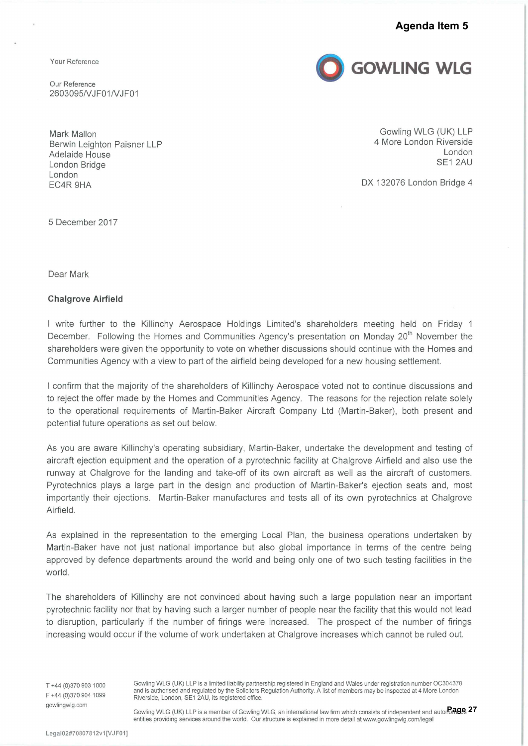**Agenda Item 5** 

Your Reference

Our Reference 2603095/VJF01/VJF01

Mark Mallon Berwin Leighton Paisner LLP Adelaide House London Bridge London EC4R 9HA

Cowling WLG (UK) LLP 4 More London Riverside London SE1 2AU

**GOWLING WLG** 

DX 132076 London Bridge 4

5 December 2017

Dear Mark

## Chalgrove Airfield

write further to the Killinchy Aerospace Holdings Limited's shareholders meeting held on Friday 1 December. Following the Homes and Communities Agency's presentation on Monday 20<sup>th</sup> November the shareholders were given the opportunity to vote on whether discussions should continue with the Homes and Communities Agency with a view to part of the airfield being developed for a new housing settlement.

confirm that the majority of the shareholders of Killinchy Aerospace voted not to continue discussions and to reject the offer made by the Homes and Communities Agency. The reasons for the rejection relate solely to the operational requirements of Martin-Baker Aircraft Company Ltd (Martin-Baker), both present and potential future operations as set out below.

As you are aware Killinchy's operating subsidiary, Martin-Baker, undertake the development and testing of aircraft ejection equipment and the operation of a pyrotechnic facility at Chalgrove Airfield and also use the runway at Chalgrove for the landing and take-off of its own aircraft as well as the aircraft of customers. Pyrotechnics plays a large part in the design and production of Martin-Baker's ejection seats and, most importantly their ejections. Martin-Baker manufactures and tests all of its own pyrotechnics at Chalgrove Airfield. **Pagenda Item 5**<br> **Pagenda Item 5**<br> **Page 27 Page 27 Page 27 Page 27 Page 27 Page 27 Page 27 Page 27 Page 27 Page 27 Page 27 Page 27 Page 27 Page 27 Page 27 Page 27 Page 27 Page 27 Page** 

As explained in the representation to the emerging Local Plan, the business operations undertaken by Martin-Baker have not just national importance but also global importance in terms of the centre being approved by defence departments around the world and being only one of two such testing facilities in the world.

The shareholders of Killinchy are not convinced about having such a large population near an important pyrotechnic facility nor that by having such a larger number of people near the facility that this would not lead to disruption, particularly if the number of firings were increased. The prospect of the number of firings increasing would occur if the volume of work undertaken at Chalgrove increases which cannot be ruled out.

T +44 (0)370 903 1000 F +44 (0)370 904 1099 gowlingwlg.com

Cowling WLG (UK) LLP is a limited liability partnership registered in England and Wales under registration number OC304378 and is authorised and regulated by the Solicitors Regulation Authority. A list of members maybe inspected at 4 More London Riverside, London, SE1 2AU, its registered office.

Gowling WLG (UK) LLP is a member of Gowling WLG, an international law firm which consists of independent and autor<sup>1</sup>8898 27 entities providing services around the world. Our structure is explained in more detail at www.gowlingwlg.com/legal